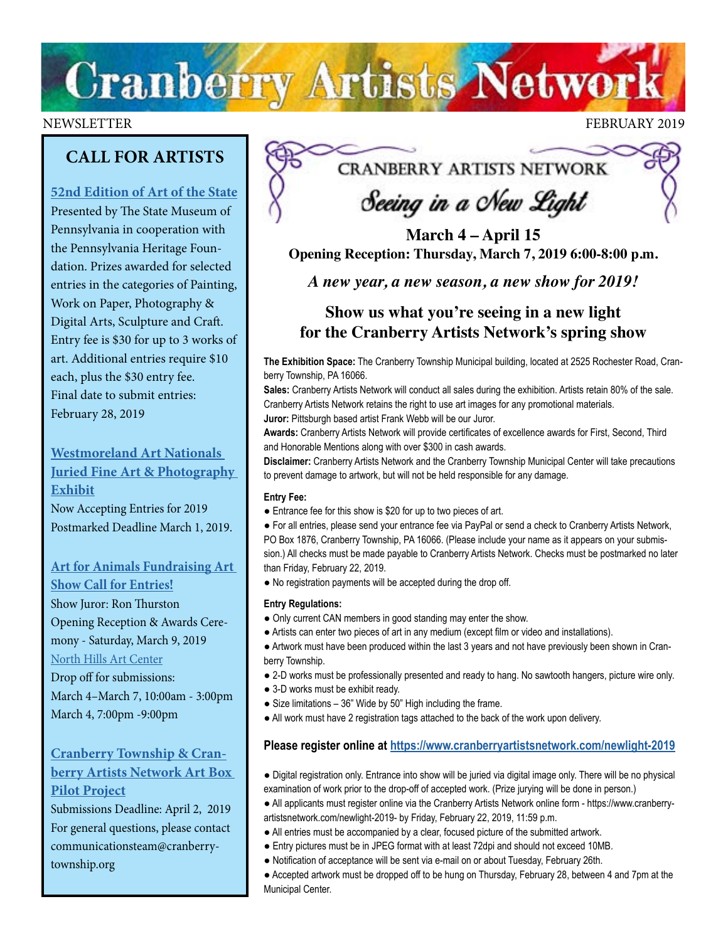# **Cranberry Artists Network**

### NEWSLETTER FEBRUARY 2019

## **CALL FOR ARTISTS**

## **[52nd Edition of Art of the State](https://ethosting.s3.amazonaws.com/artofthestatepa/index.html)**

Presented by The State Museum of Pennsylvania in cooperation with the Pennsylvania Heritage Foundation. Prizes awarded for selected entries in the categories of Painting, Work on Paper, Photography & Digital Arts, Sculpture and Craft. Entry fee is \$30 for up to 3 works of art. Additional entries require \$10 each, plus the \$30 entry fee. Final date to submit entries: February 28, 2019

**[Westmoreland Art Nationals](https://artsandheritage.com/the-arts/art-nationals/)  [Juried Fine Art & Photography](https://artsandheritage.com/the-arts/art-nationals/)  [Exhibit](https://artsandheritage.com/the-arts/art-nationals/)** [Now Accepting Entries for 2019](https://artsandheritage.com/the-arts/art-nationals/) Postmarked Deadline March 1, 2019.

## **[Art for Animals Fundraising Art](http://northhillsartcenter.com/Call%20For%20Entries_%20Art%20for%20Animals%202019.pdf)**

**[Show Call for Entries!](http://northhillsartcenter.com/Call%20For%20Entries_%20Art%20for%20Animals%202019.pdf)** Show Juror: Ron Thurston Opening Reception & Awards Ceremony - Saturday, March 9, 2019 [North Hills Art Center](http://www.northhillsartcenter.org/) Drop off for submissions:

March 4–March 7, 10:00am - 3:00pm March 4, 7:00pm -9:00pm

## **[Cranberry Township & Cran](http://www.CranberryTownship.org/ArtBox)[berry Artists Network Art Box](http://www.CranberryTownship.org/ArtBox)  [Pilot Project](http://www.CranberryTownship.org/ArtBox)**

Submissions Deadline: April 2, 2019 For general questions, please contact communicationsteam@cranberrytownship.org

## **CRANBERRY ARTISTS NETWORK**

## Seeing in a New Light

**March 4 – April 15 Opening Reception: Thursday, March 7, 2019 6:00-8:00 p.m.**

*A new year, a new season, a new show for 2019!* 

## **Show us what you're seeing in a new light for the Cranberry Artists Network's spring show**

**The Exhibition Space:** The Cranberry Township Municipal building, located at 2525 Rochester Road, Cranberry Township, PA 16066.

**Sales:** Cranberry Artists Network will conduct all sales during the exhibition. Artists retain 80% of the sale. Cranberry Artists Network retains the right to use art images for any promotional materials. **Juror:** Pittsburgh based artist Frank Webb will be our Juror.

**Awards:** Cranberry Artists Network will provide certificates of excellence awards for First, Second, Third and Honorable Mentions along with over \$300 in cash awards.

**Disclaimer:** Cranberry Artists Network and the Cranberry Township Municipal Center will take precautions to prevent damage to artwork, but will not be held responsible for any damage.

### **Entry Fee:**

● Entrance fee for this show is \$20 for up to two pieces of art.

● For all entries, please send your entrance fee via PayPal or send a check to Cranberry Artists Network, PO Box 1876, Cranberry Township, PA 16066. (Please include your name as it appears on your submission.) All checks must be made payable to Cranberry Artists Network. Checks must be postmarked no later than Friday, February 22, 2019.

● No registration payments will be accepted during the drop off.

### **Entry Regulations:**

- Only current CAN members in good standing may enter the show.
- Artists can enter two pieces of art in any medium (except film or video and installations).

● Artwork must have been produced within the last 3 years and not have previously been shown in Cranberry Township.

- 2-D works must be professionally presented and ready to hang. No sawtooth hangers, picture wire only.
- 3-D works must be exhibit ready.
- Size limitations 36" Wide by 50" High including the frame.
- All work must have 2 registration tags attached to the back of the work upon delivery.

## **Please register online at<https://www.cranberryartistsnetwork.com/newlight-2019>**

- Digital registration only. Entrance into show will be juried via digital image only. There will be no physical examination of work prior to the drop-off of accepted work. (Prize jurying will be done in person.)
- All applicants must register online via the Cranberry Artists Network online form https://www.cranberry-
- artistsnetwork.com/newlight-2019- by Friday, February 22, 2019, 11:59 p.m.
- All entries must be accompanied by a clear, focused picture of the submitted artwork.
- Entry pictures must be in JPEG format with at least 72dpi and should not exceed 10MB.
- Notification of acceptance will be sent via e-mail on or about Tuesday, February 26th.
- Accepted artwork must be dropped off to be hung on Thursday, February 28, between 4 and 7pm at the Municipal Center.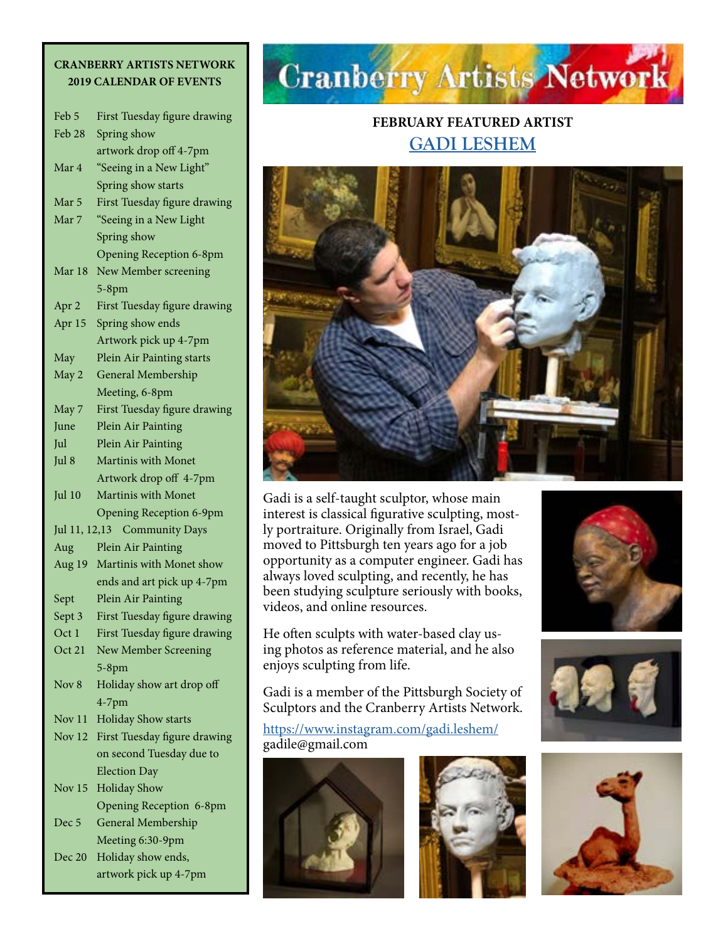## **CRANBERRY ARTISTS NETWORK 2019 CALENDAR OF EVENTS**

| Feb 5                                  | First Tuesday figure drawing   |  |
|----------------------------------------|--------------------------------|--|
| Feb 28                                 | Spring show                    |  |
|                                        | artwork drop off 4-7pm         |  |
| Mar 4                                  | "Seeing in a New Light"        |  |
|                                        | Spring show starts             |  |
| Mar 5                                  | First Tuesday figure drawing   |  |
| Mar 7                                  | "Seeing in a New Light         |  |
|                                        | Spring show                    |  |
|                                        | <b>Opening Reception 6-8pm</b> |  |
| Mar 18                                 | New Member screening           |  |
|                                        | $5-8$ pm                       |  |
| Apr 2                                  | First Tuesday figure drawing   |  |
| Apr 15                                 | Spring show ends               |  |
|                                        | Artwork pick up 4-7pm          |  |
| May                                    | Plein Air Painting starts      |  |
| May 2                                  | General Membership             |  |
|                                        | Meeting, 6-8pm                 |  |
| May 7                                  | First Tuesday figure drawing   |  |
| June                                   | Plein Air Painting             |  |
| Jul                                    | Plein Air Painting             |  |
| Jul 8                                  | <b>Martinis with Monet</b>     |  |
|                                        | Artwork drop off 4-7pm         |  |
| Jul 10                                 | Martinis with Monet            |  |
|                                        | <b>Opening Reception 6-9pm</b> |  |
| <b>Community Days</b><br>Jul 11, 12,13 |                                |  |
| Aug                                    | Plein Air Painting             |  |
| Aug 19                                 | Martinis with Monet show       |  |
|                                        | ends and art pick up 4-7pm     |  |
| Sept                                   | Plein Air Painting             |  |
| Sept 3                                 | First Tuesday figure drawing   |  |
| Oct <sub>1</sub>                       | First Tuesday figure drawing   |  |
| Oct 21                                 | New Member Screening           |  |
|                                        | $5-8$ pm                       |  |
| Nov 8                                  | Holiday show art drop off      |  |
|                                        | $4-7$ pm                       |  |
| Nov 11                                 | <b>Holiday Show starts</b>     |  |
| Nov 12                                 | First Tuesday figure drawing   |  |
|                                        | on second Tuesday due to       |  |
|                                        | <b>Election Day</b>            |  |
| Nov <sub>15</sub>                      | <b>Holiday Show</b>            |  |
|                                        | <b>Opening Reception 6-8pm</b> |  |
| Dec <sub>5</sub>                       | General Membership             |  |
|                                        | Meeting 6:30-9pm               |  |
| Dec 20                                 | Holiday show ends,             |  |

artwork pick up 4-7pm

# **Cranberry Artists Network**

## **FEBRUARY FEATURED ARTIST [GADI LESHEM](https://www.instagram.com/gadi.leshem/)**



Gadi is a self-taught sculptor, whose main interest is classical figurative sculpting, mostly portraiture. Originally from Israel, Gadi moved to Pittsburgh ten years ago for a job opportunity as a computer engineer. Gadi has always loved sculpting, and recently, he has been studying sculpture seriously with books, videos, and online resources.

He often sculpts with water-based clay using photos as reference material, and he also enjoys sculpting from life.

Gadi is a member of the Pittsburgh Society of Sculptors and the Cranberry Artists Network.

<https://www.instagram.com/gadi.leshem/> gadile@gmail.com









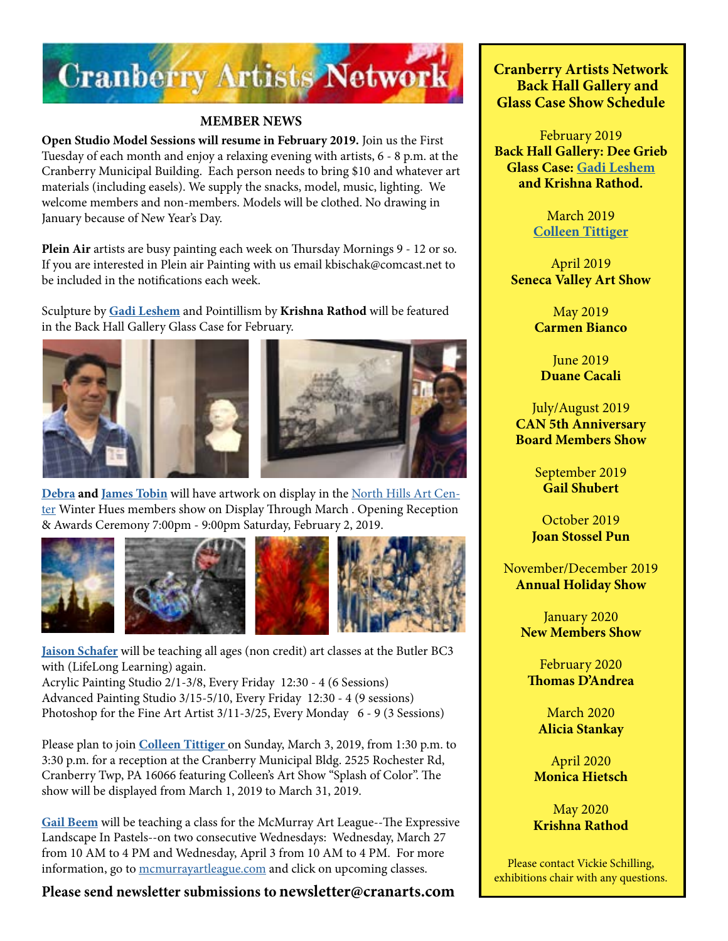

## **MEMBER NEWS**

**Open Studio Model Sessions will resume in February 2019.** Join us the First Tuesday of each month and enjoy a relaxing evening with artists, 6 - 8 p.m. at the Cranberry Municipal Building. Each person needs to bring \$10 and whatever art materials (including easels). We supply the snacks, model, music, lighting. We welcome members and non-members. Models will be clothed. No drawing in January because of New Year's Day.

**Plein Air** artists are busy painting each week on Thursday Mornings 9 - 12 or so. If you are interested in Plein air Painting with us email kbischak@comcast.net to be included in the notifications each week.

Sculpture by **[Gadi Leshem](https://www.instagram.com/gadi.leshem/)** and Pointillism by **Krishna Rathod** will be featured in the Back Hall Gallery Glass Case for February.





**[Debra](http://www.debratobinart.com) and [James Tobin](http://www.jamestobinart.com)** will have artwork on display in the [North Hills Art Cen](http://northhillsartcenter.com/)[ter](http://northhillsartcenter.com/) Winter Hues members show on Display Through March . Opening Reception & Awards Ceremony 7:00pm - 9:00pm Saturday, February 2, 2019.



**[Jaison Schafer](http://www.jaisonschafer.com)** will be teaching all ages (non credit) art classes at the Butler BC3 with (LifeLong Learning) again.

Acrylic Painting Studio 2/1-3/8, Every Friday 12:30 - 4 (6 Sessions) Advanced Painting Studio 3/15-5/10, Every Friday 12:30 - 4 (9 sessions) Photoshop for the Fine Art Artist 3/11-3/25, Every Monday 6 - 9 (3 Sessions)

Please plan to join **[Colleen Tittiger](http://colleentittiger.com)** on Sunday, March 3, 2019, from 1:30 p.m. to 3:30 p.m. for a reception at the Cranberry Municipal Bldg. 2525 Rochester Rd, Cranberry Twp, PA 16066 featuring Colleen's Art Show "Splash of Color". The show will be displayed from March 1, 2019 to March 31, 2019.

**[Gail Beem](https://gailbeem.com/)** will be teaching a class for the McMurray Art League--The Expressive Landscape In Pastels--on two consecutive Wednesdays: Wednesday, March 27 from 10 AM to 4 PM and Wednesday, April 3 from 10 AM to 4 PM. For more information, go to [mcmurrayartleague.com](http://mcmurrayartleague.com) and click on upcoming classes.

**Please send newsletter submissions to newsletter@cranarts.com**

**Cranberry Artists Network Back Hall Gallery and Glass Case Show Schedule** 

February 2019 **Back Hall Gallery: Dee Grieb Glass Case: [Gadi Leshem](https://www.instagram.com/gadi.leshem/) and Krishna Rathod.**

> March 2019 **[Colleen Tittiger](http://colleentittiger.com)**

April 2019 **Seneca Valley Art Show**

> May 2019 **Carmen Bianco**

June 2019 **Duane Cacali**

July/August 2019 **CAN 5th Anniversary Board Members Show**

> September 2019 **Gail Shubert**

October 2019 **Joan Stossel Pun**

November/December 2019 **Annual Holiday Show**

> January 2020 **New Members Show**

February 2020 **Thomas D'Andrea**

March 2020 **Alicia Stankay**

April 2020 **Monica Hietsch**

May 2020 **Krishna Rathod**

Please contact Vickie Schilling, exhibitions chair with any questions.